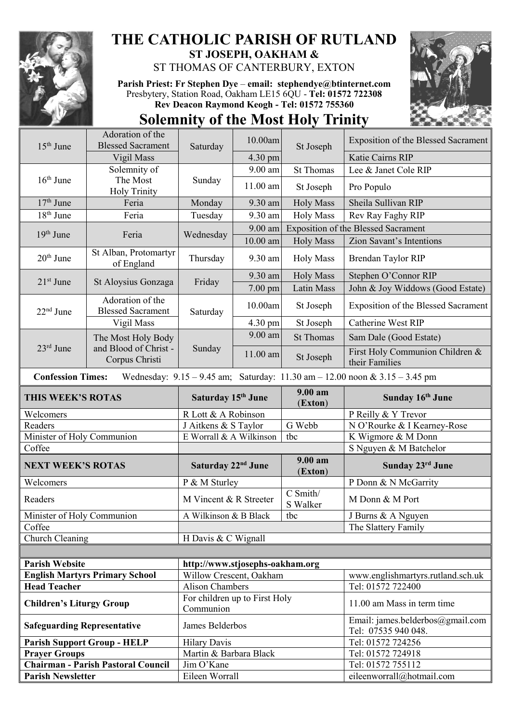

## **THE CATHOLIC PARISH OF RUTLAND ST JOSEPH, OAKHAM &**

ST THOMAS OF CANTERBURY, EXTON

**Parish Priest: Fr Stephen Dye** – **[email: stephendye@btinternet.com](mailto:email:%20%20stephendye@btinternet.com)** Presbytery, Station Road, Oakham LE15 6QU - **Tel: 01572 722308 Rev Deacon Raymond Keogh - Tel: 01572 755360**





|                                                                                                                 | Adoration of the                             |                                            | 10.00am           |                                            | <b>Exposition of the Blessed Sacrament</b>              |  |  |  |
|-----------------------------------------------------------------------------------------------------------------|----------------------------------------------|--------------------------------------------|-------------------|--------------------------------------------|---------------------------------------------------------|--|--|--|
| $15th$ June                                                                                                     | <b>Blessed Sacrament</b>                     | Saturday                                   |                   | St Joseph                                  |                                                         |  |  |  |
|                                                                                                                 | Vigil Mass                                   |                                            | 4.30 pm           |                                            | Katie Cairns RIP                                        |  |  |  |
|                                                                                                                 | Solemnity of                                 |                                            | 9.00 am           | <b>St Thomas</b>                           | Lee & Janet Cole RIP                                    |  |  |  |
| $16th$ June                                                                                                     | The Most<br><b>Holy Trinity</b>              | Sunday                                     | 11.00 am          | St Joseph                                  | Pro Populo                                              |  |  |  |
| $17th$ June                                                                                                     | Feria                                        | Monday                                     | 9.30 am           | <b>Holy Mass</b>                           | Sheila Sullivan RIP                                     |  |  |  |
| $18th$ June                                                                                                     | Feria                                        | Tuesday                                    | 9.30 am           | <b>Holy Mass</b>                           | Rev Ray Faghy RIP                                       |  |  |  |
| $19th$ June                                                                                                     | Feria                                        | Wednesday                                  | 9.00 am           | <b>Exposition of the Blessed Sacrament</b> |                                                         |  |  |  |
|                                                                                                                 |                                              |                                            | $10.00$ am        | <b>Holy Mass</b>                           | Zion Savant's Intentions                                |  |  |  |
| $20th$ June                                                                                                     | St Alban, Protomartyr<br>of England          | Thursday                                   | 9.30 am           | <b>Holy Mass</b>                           | Brendan Taylor RIP                                      |  |  |  |
| $21st$ June                                                                                                     | St Aloysius Gonzaga                          | Friday                                     | 9.30 am           | <b>Holy Mass</b>                           | Stephen O'Connor RIP                                    |  |  |  |
|                                                                                                                 |                                              |                                            | $7.00$ pm         | Latin Mass                                 | John & Joy Widdows (Good Estate)                        |  |  |  |
| $22nd$ June                                                                                                     | Adoration of the<br><b>Blessed Sacrament</b> | Saturday                                   | 10.00am           | St Joseph                                  | <b>Exposition of the Blessed Sacrament</b>              |  |  |  |
|                                                                                                                 | Vigil Mass                                   |                                            | $4.30 \text{ pm}$ | St Joseph                                  | <b>Catherine West RIP</b>                               |  |  |  |
|                                                                                                                 | The Most Holy Body                           |                                            | 9.00 am           | <b>St Thomas</b>                           | Sam Dale (Good Estate)                                  |  |  |  |
| $23rd$ June                                                                                                     | and Blood of Christ -<br>Corpus Christi      | Sunday                                     | $11.00$ am        | St Joseph                                  | First Holy Communion Children &<br>their Families       |  |  |  |
| <b>Confession Times:</b><br>Wednesday: $9.15 - 9.45$ am; Saturday: $11.30$ am $- 12.00$ noon & $3.15 - 3.45$ pm |                                              |                                            |                   |                                            |                                                         |  |  |  |
| <b>THIS WEEK'S ROTAS</b>                                                                                        |                                              | Saturday 15 <sup>th</sup> June             |                   | 9.00 am<br>(Exton)                         | Sunday 16th June                                        |  |  |  |
|                                                                                                                 |                                              |                                            |                   |                                            |                                                         |  |  |  |
| Welcomers                                                                                                       |                                              | R Lott & A Robinson                        |                   |                                            | P Reilly & Y Trevor                                     |  |  |  |
| Readers                                                                                                         |                                              | J Aitkens & S Taylor                       |                   | G Webb                                     | N O'Rourke & I Kearney-Rose                             |  |  |  |
| Minister of Holy Communion                                                                                      |                                              | E Worrall & A Wilkinson                    |                   | tbc                                        | K Wigmore & M Donn                                      |  |  |  |
| Coffee                                                                                                          |                                              |                                            |                   |                                            | S Nguyen & M Batchelor                                  |  |  |  |
| <b>NEXT WEEK'S ROTAS</b>                                                                                        |                                              | Saturday 22 <sup>nd</sup> June             |                   | 9.00 am<br>(Exton)                         | Sunday 23rd June                                        |  |  |  |
| Welcomers                                                                                                       |                                              | P & M Sturley                              |                   |                                            | P Donn & N McGarrity                                    |  |  |  |
| Readers                                                                                                         |                                              | M Vincent & R Streeter                     |                   | C Smith/<br>S Walker                       | M Donn & M Port                                         |  |  |  |
| Minister of Holy Communion                                                                                      |                                              | A Wilkinson & B Black                      |                   | tbc                                        | J Burns & A Nguyen                                      |  |  |  |
| Coffee                                                                                                          |                                              |                                            |                   |                                            | The Slattery Family                                     |  |  |  |
| Church Cleaning                                                                                                 |                                              | H Davis & C Wignall                        |                   |                                            |                                                         |  |  |  |
|                                                                                                                 |                                              |                                            |                   |                                            |                                                         |  |  |  |
| <b>Parish Website</b>                                                                                           |                                              | http://www.stjosephs-oakham.org            |                   |                                            |                                                         |  |  |  |
|                                                                                                                 | <b>English Martyrs Primary School</b>        | Willow Crescent, Oakham                    |                   |                                            | www.englishmartyrs.rutland.sch.uk                       |  |  |  |
| <b>Head Teacher</b>                                                                                             |                                              | <b>Alison Chambers</b>                     |                   |                                            | Tel: 01572 722400                                       |  |  |  |
| <b>Children's Liturgy Group</b>                                                                                 |                                              | For children up to First Holy<br>Communion |                   |                                            | 11.00 am Mass in term time                              |  |  |  |
| <b>Safeguarding Representative</b>                                                                              |                                              | James Belderbos                            |                   |                                            | Email: james.belderbos@gmail.com<br>Tel: 07535 940 048. |  |  |  |
|                                                                                                                 | <b>Parish Support Group - HELP</b>           | <b>Hilary Davis</b>                        |                   |                                            | Tel: 01572 724256                                       |  |  |  |
| <b>Prayer Groups</b>                                                                                            |                                              | Martin & Barbara Black                     |                   |                                            | Tel: 01572 724918                                       |  |  |  |
| <b>Parish Newsletter</b>                                                                                        | <b>Chairman - Parish Pastoral Council</b>    | Jim O'Kane<br>Eileen Worrall               |                   |                                            | Tel: 01572 755112<br>eileenworrall@hotmail.com          |  |  |  |